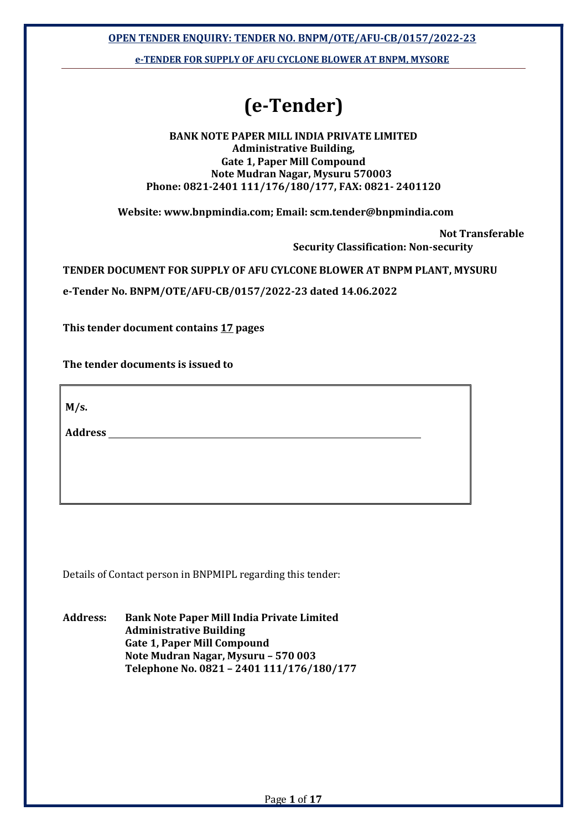OPEN TENDER ENQUIRY: TENDER NO. BNPM/OTE/AFU-CB/0157/2022-23

e-TENDER FOR SUPPLY OF AFU CYCLONE BLOWER AT BNPM, MYSORE

# (e-Tender)

#### BANK NOTE PAPER MILL INDIA PRIVATE LIMITED Administrative Building, Gate 1, Paper Mill Compound Note Mudran Nagar, Mysuru 570003 Phone: 0821-2401 111/176/180/177, FAX: 0821- 2401120

Website: www.bnpmindia.com; Email: scm.tender@bnpmindia.com

Not Transferable

Security Classification: Non-security

TENDER DOCUMENT FOR SUPPLY OF AFU CYLCONE BLOWER AT BNPM PLANT, MYSURU

e-Tender No. BNPM/OTE/AFU-CB/0157/2022-23 dated 14.06.2022

This tender document contains 17 pages

The tender documents is issued to

 $M/s$ .

**Address** 

Details of Contact person in BNPMIPL regarding this tender:

Address: Bank Note Paper Mill India Private Limited Administrative Building Gate 1, Paper Mill Compound Note Mudran Nagar, Mysuru – 570 003 Telephone No. 0821 – 2401 111/176/180/177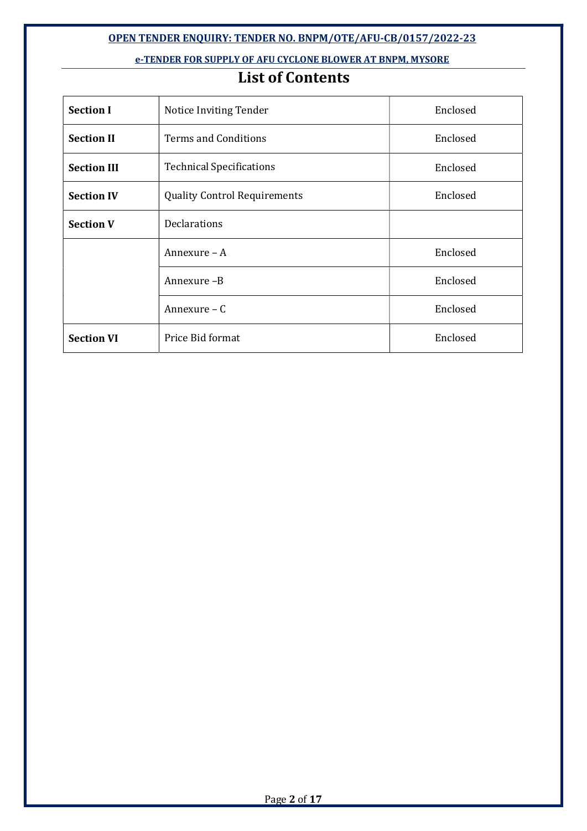#### OPEN TENDER ENQUIRY: TENDER NO. BNPM/OTE/AFU-CB/0157/2022-23

#### e-TENDER FOR SUPPLY OF AFU CYCLONE BLOWER AT BNPM, MYSORE

# List of Contents

| <b>Section I</b>   | Notice Inviting Tender              | Enclosed |
|--------------------|-------------------------------------|----------|
| <b>Section II</b>  | <b>Terms and Conditions</b>         | Enclosed |
| <b>Section III</b> | <b>Technical Specifications</b>     | Enclosed |
| <b>Section IV</b>  | <b>Quality Control Requirements</b> | Enclosed |
| <b>Section V</b>   | <b>Declarations</b>                 |          |
|                    | Annexure - A                        | Enclosed |
|                    | Annexure-B                          | Enclosed |
|                    | Annexure - C                        | Enclosed |
| <b>Section VI</b>  | Price Bid format                    | Enclosed |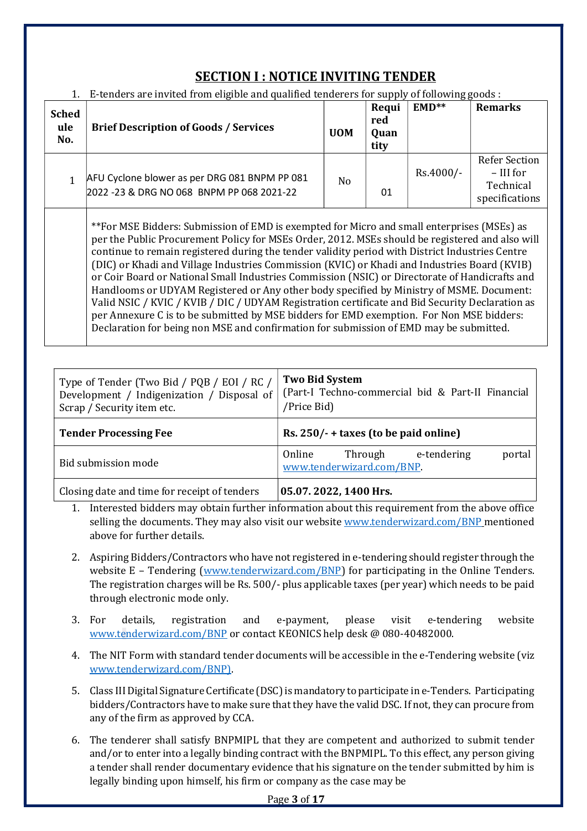# SECTION I : NOTICE INVITING TENDER

| <b>Sched</b><br>ule<br>No. | <b>Brief Description of Goods / Services</b>                                                                                                                                                 | <b>UOM</b> | Requi<br>red<br>Quan<br>tity | $EMD**$     | <b>Remarks</b>                                                     |
|----------------------------|----------------------------------------------------------------------------------------------------------------------------------------------------------------------------------------------|------------|------------------------------|-------------|--------------------------------------------------------------------|
| 1                          | AFU Cyclone blower as per DRG 081 BNPM PP 081<br>2022 -23 & DRG NO 068 BNPM PP 068 2021-22                                                                                                   | No         | 01                           | $Rs.4000/-$ | <b>Refer Section</b><br>$-$ III for<br>Technical<br>specifications |
|                            | ** For MSE Bidders: Submission of EMD is exempted for Micro and small enterprises (MSEs) as<br>ner the Public Procurement Policy for MSEs Order 2012 MSEs should be registered and also will |            |                              |             |                                                                    |

 $F_{\rm t}$  tenders are invited from eligible and qualified tenderers  $F_{\rm t}$ 

per the Public Procurement Policy for MSEs Order, 2012. MSEs should be registercontinue to remain registered during the tender validity period with District Industries Centre (DIC) or Khadi and Village Industries Commission (KVIC) or Khadi and Industries Board (KVIB) or Coir Board or National Small Industries Commission (NSIC) or Directorate of Handicrafts and Handlooms or UDYAM Registered or Any other body specified by Ministry of MSME. Document: Valid NSIC / KVIC / KVIB / DIC / UDYAM Registration certificate and Bid Security Declaration as per Annexure C is to be submitted by MSE bidders for EMD exemption. For Non MSE bidders: Declaration for being non MSE and confirmation for submission of EMD may be submitted.

| Type of Tender (Two Bid / PQB / EOI / RC /<br>Development / Indigenization / Disposal of<br>Scrap / Security item etc. | <b>Two Bid System</b><br>(Part-I Techno-commercial bid & Part-II Financial<br>/Price Bid) |  |  |  |  |  |  |
|------------------------------------------------------------------------------------------------------------------------|-------------------------------------------------------------------------------------------|--|--|--|--|--|--|
| <b>Tender Processing Fee</b>                                                                                           | Rs. $250/- +$ taxes (to be paid online)                                                   |  |  |  |  |  |  |
| Bid submission mode                                                                                                    | Online<br>e-tendering<br>Through<br>portal<br>www.tenderwizard.com/BNP.                   |  |  |  |  |  |  |
| Closing date and time for receipt of tenders                                                                           | 05.07.2022, 1400 Hrs.                                                                     |  |  |  |  |  |  |

- 1. Interested bidders may obtain further information about this requirement from the above office selling the documents. They may also visit our website www.tenderwizard.com/BNP mentioned above for further details.
- 2. Aspiring Bidders/Contractors who have not registered in e-tendering should register through the website E – Tendering (www.tenderwizard.com/BNP) for participating in the Online Tenders. The registration charges will be Rs. 500/- plus applicable taxes (per year) which needs to be paid through electronic mode only.
- 3. For details, registration and e-payment, please visit e-tendering website www.tenderwizard.com/BNP or contact KEONICS help desk @ 080-40482000.
- 4. The NIT Form with standard tender documents will be accessible in the e-Tendering website (viz www.tenderwizard.com/BNP).
- 5. Class III Digital Signature Certificate (DSC) is mandatory to participate in e-Tenders. Participating bidders/Contractors have to make sure that they have the valid DSC. If not, they can procure from any of the firm as approved by CCA.
- 6. The tenderer shall satisfy BNPMIPL that they are competent and authorized to submit tender and/or to enter into a legally binding contract with the BNPMIPL. To this effect, any person giving a tender shall render documentary evidence that his signature on the tender submitted by him is legally binding upon himself, his firm or company as the case may be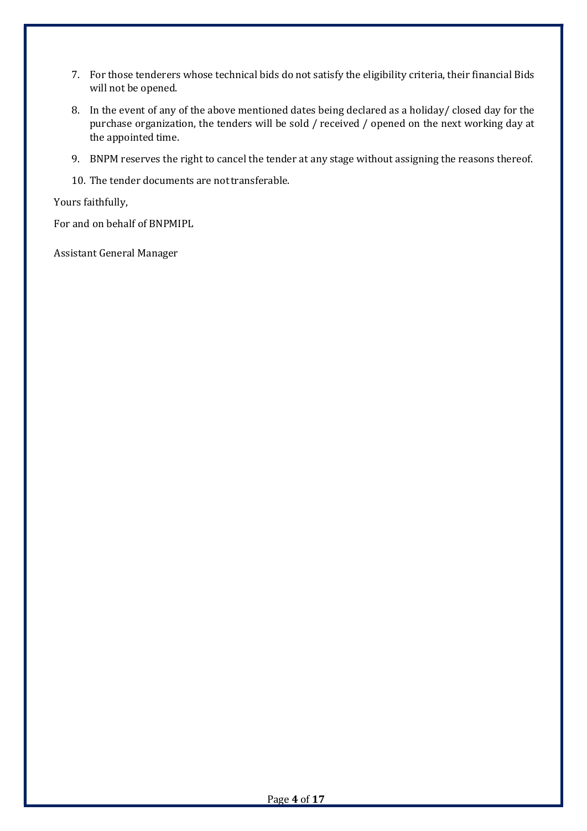- 7. For those tenderers whose technical bids do not satisfy the eligibility criteria, their financial Bids will not be opened.
- 8. In the event of any of the above mentioned dates being declared as a holiday/ closed day for the purchase organization, the tenders will be sold / received / opened on the next working day at the appointed time.
- 9. BNPM reserves the right to cancel the tender at any stage without assigning the reasons thereof.
- 10. The tender documents are not transferable.

Yours faithfully,

For and on behalf of BNPMIPL

Assistant General Manager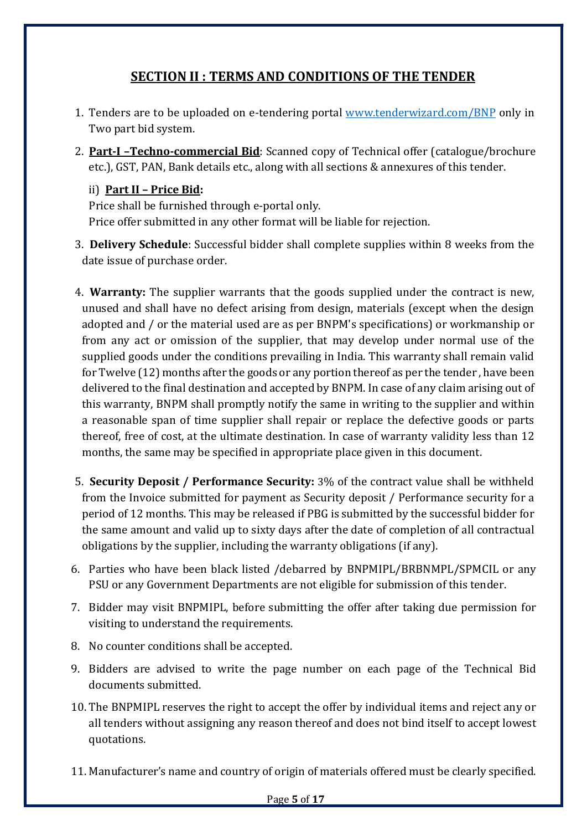# SECTION II : TERMS AND CONDITIONS OF THE TENDER

- 1. Tenders are to be uploaded on e-tendering portal www.tenderwizard.com/BNP only in Two part bid system.
- 2. Part-I –Techno-commercial Bid: Scanned copy of Technical offer (catalogue/brochure etc.), GST, PAN, Bank details etc., along with all sections & annexures of this tender.

### ii) Part II – Price Bid:

Price shall be furnished through e-portal only. Price offer submitted in any other format will be liable for rejection.

- 3. Delivery Schedule: Successful bidder shall complete supplies within 8 weeks from the date issue of purchase order.
- 4. Warranty: The supplier warrants that the goods supplied under the contract is new, unused and shall have no defect arising from design, materials (except when the design adopted and / or the material used are as per BNPM's specifications) or workmanship or from any act or omission of the supplier, that may develop under normal use of the supplied goods under the conditions prevailing in India. This warranty shall remain valid for Twelve (12) months after the goods or any portion thereof as per the tender , have been delivered to the final destination and accepted by BNPM. In case of any claim arising out of this warranty, BNPM shall promptly notify the same in writing to the supplier and within a reasonable span of time supplier shall repair or replace the defective goods or parts thereof, free of cost, at the ultimate destination. In case of warranty validity less than 12 months, the same may be specified in appropriate place given in this document.
- 5. Security Deposit / Performance Security: 3% of the contract value shall be withheld from the Invoice submitted for payment as Security deposit / Performance security for a period of 12 months. This may be released if PBG is submitted by the successful bidder for the same amount and valid up to sixty days after the date of completion of all contractual obligations by the supplier, including the warranty obligations (if any).
- 6. Parties who have been black listed /debarred by BNPMIPL/BRBNMPL/SPMCIL or any PSU or any Government Departments are not eligible for submission of this tender.
- 7. Bidder may visit BNPMIPL, before submitting the offer after taking due permission for visiting to understand the requirements.
- 8. No counter conditions shall be accepted.
- 9. Bidders are advised to write the page number on each page of the Technical Bid documents submitted.
- 10. The BNPMIPL reserves the right to accept the offer by individual items and reject any or all tenders without assigning any reason thereof and does not bind itself to accept lowest quotations.
- 11. Manufacturer's name and country of origin of materials offered must be clearly specified.

#### Page 5 of 17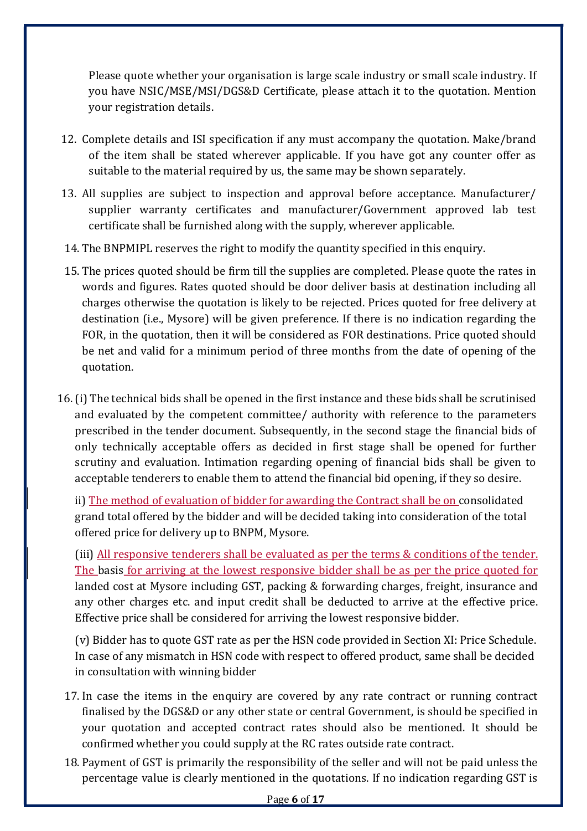Please quote whether your organisation is large scale industry or small scale industry. If you have NSIC/MSE/MSI/DGS&D Certificate, please attach it to the quotation. Mention your registration details.

- 12. Complete details and ISI specification if any must accompany the quotation. Make/brand of the item shall be stated wherever applicable. If you have got any counter offer as suitable to the material required by us, the same may be shown separately.
- 13. All supplies are subject to inspection and approval before acceptance. Manufacturer/ supplier warranty certificates and manufacturer/Government approved lab test certificate shall be furnished along with the supply, wherever applicable.
- 14. The BNPMIPL reserves the right to modify the quantity specified in this enquiry.
- 15. The prices quoted should be firm till the supplies are completed. Please quote the rates in words and figures. Rates quoted should be door deliver basis at destination including all charges otherwise the quotation is likely to be rejected. Prices quoted for free delivery at destination (i.e., Mysore) will be given preference. If there is no indication regarding the FOR, in the quotation, then it will be considered as FOR destinations. Price quoted should be net and valid for a minimum period of three months from the date of opening of the quotation.
- 16.(i) The technical bids shall be opened in the first instance and these bids shall be scrutinised and evaluated by the competent committee/ authority with reference to the parameters prescribed in the tender document. Subsequently, in the second stage the financial bids of only technically acceptable offers as decided in first stage shall be opened for further scrutiny and evaluation. Intimation regarding opening of financial bids shall be given to acceptable tenderers to enable them to attend the financial bid opening, if they so desire.

ii) The method of evaluation of bidder for awarding the Contract shall be on consolidated grand total offered by the bidder and will be decided taking into consideration of the total offered price for delivery up to BNPM, Mysore.

(iii) All responsive tenderers shall be evaluated as per the terms & conditions of the tender. The basis for arriving at the lowest responsive bidder shall be as per the price quoted for landed cost at Mysore including GST, packing & forwarding charges, freight, insurance and any other charges etc. and input credit shall be deducted to arrive at the effective price. Effective price shall be considered for arriving the lowest responsive bidder.

(v) Bidder has to quote GST rate as per the HSN code provided in Section XI: Price Schedule. In case of any mismatch in HSN code with respect to offered product, same shall be decided in consultation with winning bidder

- 17. In case the items in the enquiry are covered by any rate contract or running contract finalised by the DGS&D or any other state or central Government, is should be specified in your quotation and accepted contract rates should also be mentioned. It should be confirmed whether you could supply at the RC rates outside rate contract.
- 18. Payment of GST is primarily the responsibility of the seller and will not be paid unless the percentage value is clearly mentioned in the quotations. If no indication regarding GST is

Page 6 of 17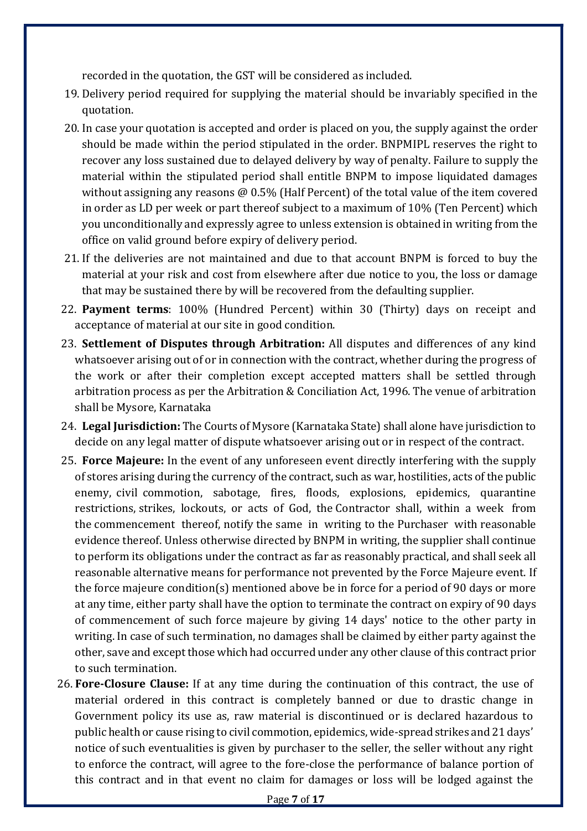recorded in the quotation, the GST will be considered as included.

- 19. Delivery period required for supplying the material should be invariably specified in the quotation.
- 20. In case your quotation is accepted and order is placed on you, the supply against the order should be made within the period stipulated in the order. BNPMIPL reserves the right to recover any loss sustained due to delayed delivery by way of penalty. Failure to supply the material within the stipulated period shall entitle BNPM to impose liquidated damages without assigning any reasons @ 0.5% (Half Percent) of the total value of the item covered in order as LD per week or part thereof subject to a maximum of 10% (Ten Percent) which you unconditionally and expressly agree to unless extension is obtained in writing from the office on valid ground before expiry of delivery period.
- 21. If the deliveries are not maintained and due to that account BNPM is forced to buy the material at your risk and cost from elsewhere after due notice to you, the loss or damage that may be sustained there by will be recovered from the defaulting supplier.
- 22. Payment terms: 100% (Hundred Percent) within 30 (Thirty) days on receipt and acceptance of material at our site in good condition.
- 23. Settlement of Disputes through Arbitration: All disputes and differences of any kind whatsoever arising out of or in connection with the contract, whether during the progress of the work or after their completion except accepted matters shall be settled through arbitration process as per the Arbitration & Conciliation Act, 1996. The venue of arbitration shall be Mysore, Karnataka
- 24. Legal Jurisdiction: The Courts of Mysore (Karnataka State) shall alone have jurisdiction to decide on any legal matter of dispute whatsoever arising out or in respect of the contract.
- 25. Force Majeure: In the event of any unforeseen event directly interfering with the supply of stores arising during the currency of the contract, such as war, hostilities, acts of the public enemy, civil commotion, sabotage, fires, floods, explosions, epidemics, quarantine restrictions, strikes, lockouts, or acts of God, the Contractor shall, within a week from the commencement thereof, notify the same in writing to the Purchaser with reasonable evidence thereof. Unless otherwise directed by BNPM in writing, the supplier shall continue to perform its obligations under the contract as far as reasonably practical, and shall seek all reasonable alternative means for performance not prevented by the Force Majeure event. If the force majeure condition(s) mentioned above be in force for a period of 90 days or more at any time, either party shall have the option to terminate the contract on expiry of 90 days of commencement of such force majeure by giving 14 days' notice to the other party in writing. In case of such termination, no damages shall be claimed by either party against the other, save and except those which had occurred under any other clause of this contract prior to such termination.
- 26. Fore-Closure Clause: If at any time during the continuation of this contract, the use of material ordered in this contract is completely banned or due to drastic change in Government policy its use as, raw material is discontinued or is declared hazardous to public health or cause rising to civil commotion, epidemics, wide-spread strikes and 21 days' notice of such eventualities is given by purchaser to the seller, the seller without any right to enforce the contract, will agree to the fore-close the performance of balance portion of this contract and in that event no claim for damages or loss will be lodged against the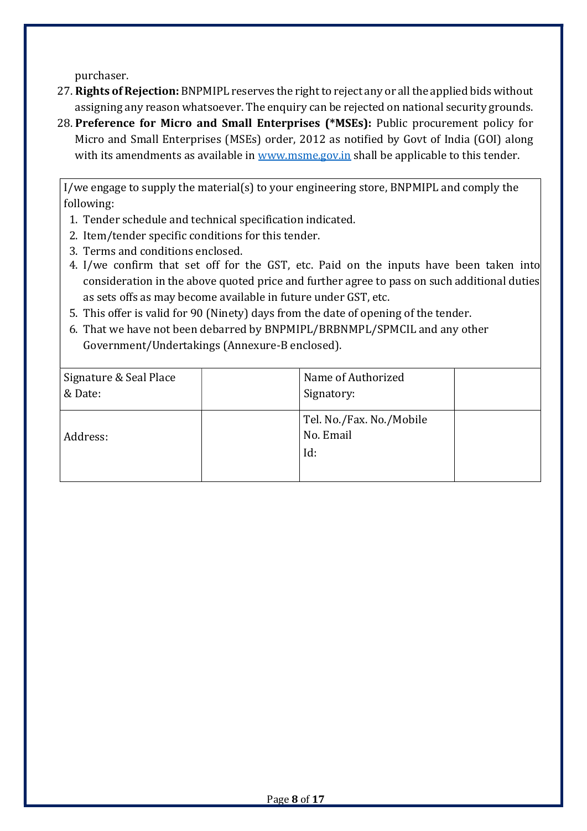purchaser.

- 27. Rights of Rejection: BNPMIPL reserves the right to reject any or all the applied bids without assigning any reason whatsoever. The enquiry can be rejected on national security grounds.
- 28. Preference for Micro and Small Enterprises (\*MSEs): Public procurement policy for Micro and Small Enterprises (MSEs) order, 2012 as notified by Govt of India (GOI) along with its amendments as available in www.msme.gov.in shall be applicable to this tender.

I/we engage to supply the material(s) to your engineering store, BNPMIPL and comply the following:

- 1. Tender schedule and technical specification indicated.
- 2. Item/tender specific conditions for this tender.
- 3. Terms and conditions enclosed.
- 4. I/we confirm that set off for the GST, etc. Paid on the inputs have been taken into consideration in the above quoted price and further agree to pass on such additional duties as sets offs as may become available in future under GST, etc.
- 5. This offer is valid for 90 (Ninety) days from the date of opening of the tender.
- 6. That we have not been debarred by BNPMIPL/BRBNMPL/SPMCIL and any other Government/Undertakings (Annexure-B enclosed).

| Signature & Seal Place<br>& Date: | Name of Authorized<br>Signatory:             |  |
|-----------------------------------|----------------------------------------------|--|
| Address:                          | Tel. No./Fax. No./Mobile<br>No. Email<br>Id: |  |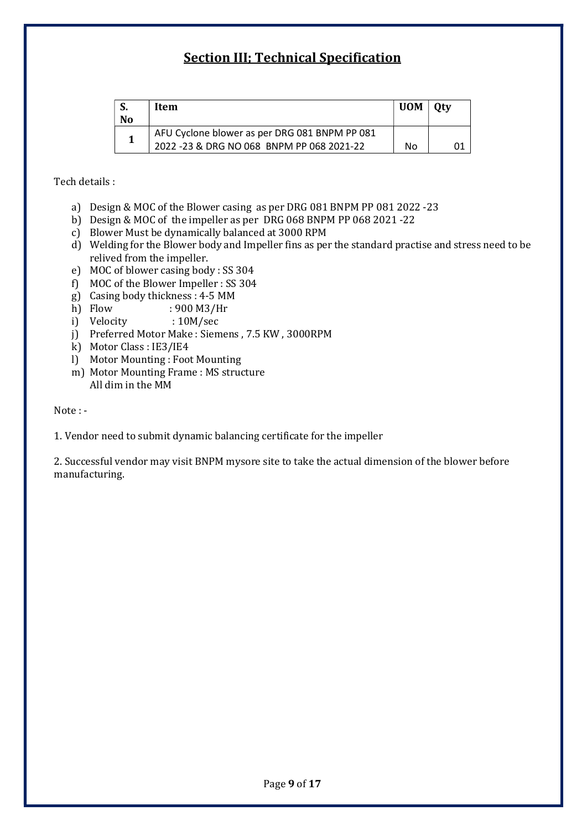# Section III; Technical Specification

| No | Item                                                                                        | <b>UOM</b> | 0ty |
|----|---------------------------------------------------------------------------------------------|------------|-----|
|    | AFU Cyclone blower as per DRG 081 BNPM PP 081<br>2022 - 23 & DRG NO 068 BNPM PP 068 2021-22 | No         |     |

Tech details :

- a) Design & MOC of the Blower casing as per DRG 081 BNPM PP 081 2022 -23
- b) Design & MOC of the impeller as per DRG 068 BNPM PP 068 2021 -22
- c) Blower Must be dynamically balanced at 3000 RPM
- d) Welding for the Blower body and Impeller fins as per the standard practise and stress need to be relived from the impeller.
- e) MOC of blower casing body : SS 304
- f) MOC of the Blower Impeller : SS 304
- g) Casing body thickness : 4-5 MM
- h) Flow : 900 M3/Hr
- i) Velocity : 10M/sec
- j) Preferred Motor Make : Siemens , 7.5 KW , 3000RPM
- k) Motor Class : IE3/IE4
- l) Motor Mounting : Foot Mounting
- m) Motor Mounting Frame : MS structure All dim in the MM

Note : -

1. Vendor need to submit dynamic balancing certificate for the impeller

2. Successful vendor may visit BNPM mysore site to take the actual dimension of the blower before manufacturing.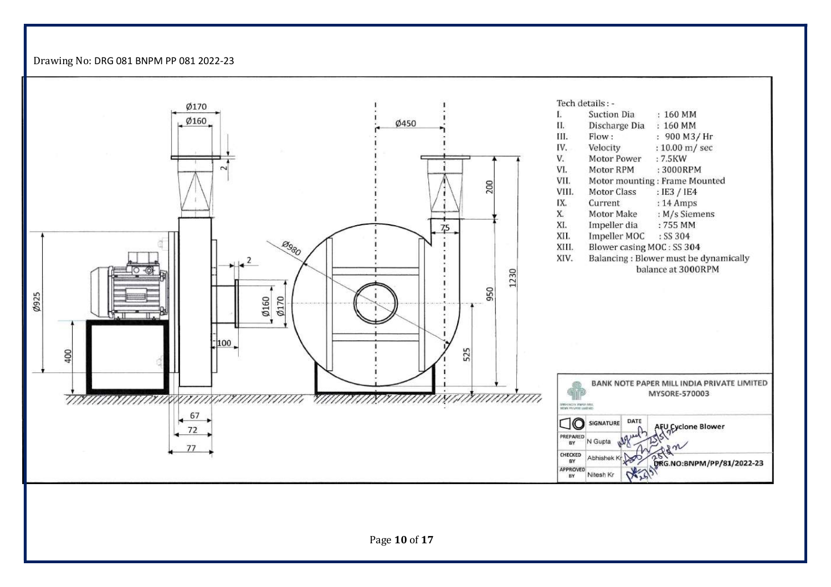Drawing No: DRG 081 BNPM PP 081 2022-23

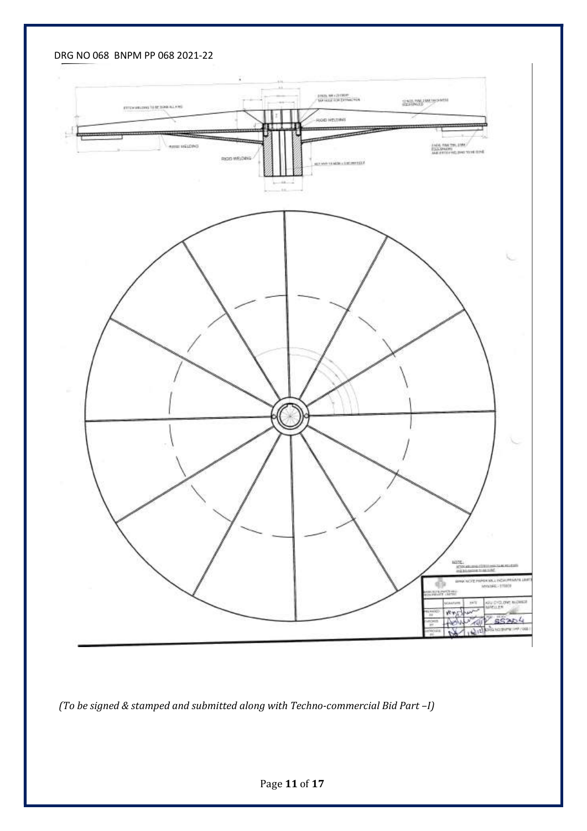DRG NO 068 BNPM PP 068 2021-22



(To be signed & stamped and submitted along with Techno-commercial Bid Part –I)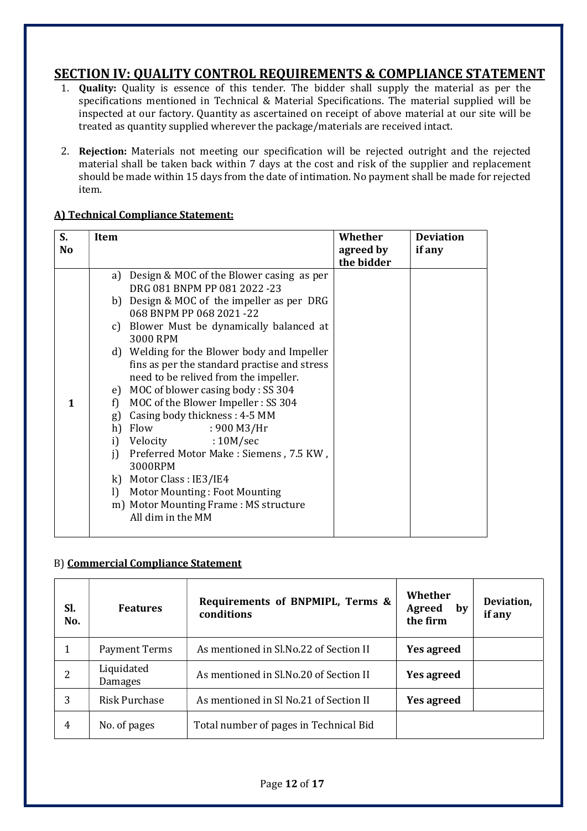### SECTION IV: QUALITY CONTROL REQUIREMENTS & COMPLIANCE STATEMENT

- 1. Quality: Quality is essence of this tender. The bidder shall supply the material as per the specifications mentioned in Technical & Material Specifications. The material supplied will be inspected at our factory. Quantity as ascertained on receipt of above material at our site will be treated as quantity supplied wherever the package/materials are received intact.
- 2. Rejection: Materials not meeting our specification will be rejected outright and the rejected material shall be taken back within 7 days at the cost and risk of the supplier and replacement should be made within 15 days from the date of intimation. No payment shall be made for rejected item.

| S.          | Item         |                                              | Whether    | <b>Deviation</b> |
|-------------|--------------|----------------------------------------------|------------|------------------|
| <b>No</b>   |              |                                              | agreed by  | if any           |
|             |              |                                              | the bidder |                  |
|             | a)           | Design & MOC of the Blower casing as per     |            |                  |
|             |              | DRG 081 BNPM PP 081 2022 -23                 |            |                  |
|             |              | b) Design & MOC of the impeller as per DRG   |            |                  |
|             |              | 068 BNPM PP 068 2021-22                      |            |                  |
|             |              | c) Blower Must be dynamically balanced at    |            |                  |
|             |              | 3000 RPM                                     |            |                  |
|             |              | d) Welding for the Blower body and Impeller  |            |                  |
|             |              | fins as per the standard practise and stress |            |                  |
|             |              | need to be relived from the impeller.        |            |                  |
|             |              | e) MOC of blower casing body: SS 304         |            |                  |
| $\mathbf 1$ | f)           | MOC of the Blower Impeller: SS 304           |            |                  |
|             | g)           | Casing body thickness: 4-5 MM                |            |                  |
|             |              | h) Flow<br>: 900 M3/Hr                       |            |                  |
|             | i)           | Velocity<br>:10M/sec                         |            |                  |
|             | j)           | Preferred Motor Make: Siemens, 7.5 KW,       |            |                  |
|             |              | 3000RPM                                      |            |                  |
|             |              | k) Motor Class : IE3/IE4                     |            |                  |
|             | $\mathbf{I}$ | <b>Motor Mounting: Foot Mounting</b>         |            |                  |
|             |              | m) Motor Mounting Frame: MS structure        |            |                  |
|             |              | All dim in the MM                            |            |                  |
|             |              |                                              |            |                  |

#### A) Technical Compliance Statement:

#### B) Commercial Compliance Statement

| SI.<br>No. | <b>Features</b>       | Requirements of BNPMIPL, Terms &<br>conditions | Whether<br>Agreed<br>by<br>the firm | Deviation,<br>if any |
|------------|-----------------------|------------------------------------------------|-------------------------------------|----------------------|
|            | Payment Terms         | As mentioned in Sl.No.22 of Section II         | <b>Yes agreed</b>                   |                      |
|            | Liquidated<br>Damages | As mentioned in Sl.No.20 of Section II         | <b>Yes agreed</b>                   |                      |
| 3          | <b>Risk Purchase</b>  | As mentioned in Sl No.21 of Section II         | <b>Yes agreed</b>                   |                      |
| 4          | No. of pages          | Total number of pages in Technical Bid         |                                     |                      |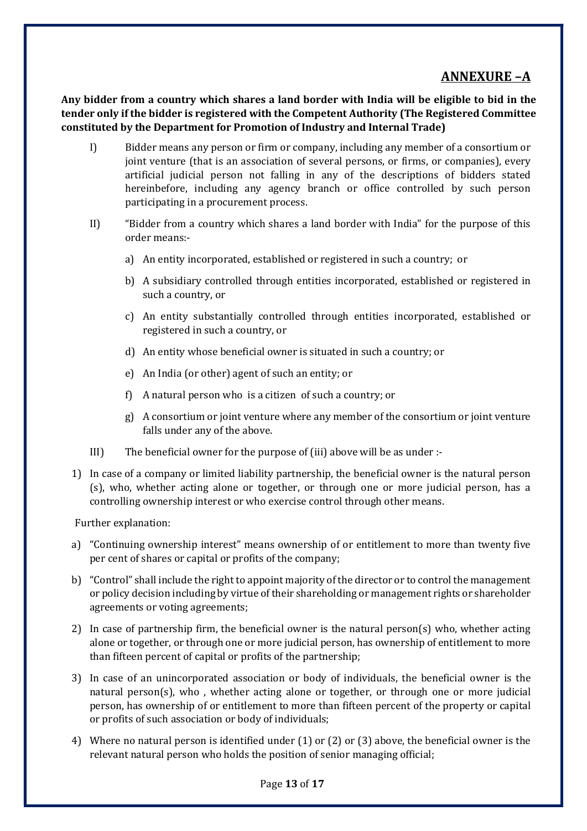## ANNEXURE –A

Any bidder from a country which shares a land border with India will be eligible to bid in the tender only if the bidder is registered with the Competent Authority (The Registered Committee constituted by the Department for Promotion of Industry and Internal Trade)

- I) Bidder means any person or firm or company, including any member of a consortium or joint venture (that is an association of several persons, or firms, or companies), every artificial judicial person not falling in any of the descriptions of bidders stated hereinbefore, including any agency branch or office controlled by such person participating in a procurement process.
- II) "Bidder from a country which shares a land border with India" for the purpose of this order means:
	- a) An entity incorporated, established or registered in such a country; or
	- b) A subsidiary controlled through entities incorporated, established or registered in such a country, or
	- c) An entity substantially controlled through entities incorporated, established or registered in such a country, or
	- d) An entity whose beneficial owner is situated in such a country; or
	- e) An India (or other) agent of such an entity; or
	- f) A natural person who is a citizen of such a country; or
	- g) A consortium or joint venture where any member of the consortium or joint venture falls under any of the above.
- III) The beneficial owner for the purpose of (iii) above will be as under :-
- 1) In case of a company or limited liability partnership, the beneficial owner is the natural person (s), who, whether acting alone or together, or through one or more judicial person, has a controlling ownership interest or who exercise control through other means.

Further explanation:

- a) "Continuing ownership interest" means ownership of or entitlement to more than twenty five per cent of shares or capital or profits of the company;
- b) "Control" shall include the right to appoint majority of the director or to control the management or policy decision including by virtue of their shareholding or management rights or shareholder agreements or voting agreements;
- 2) In case of partnership firm, the beneficial owner is the natural person(s) who, whether acting alone or together, or through one or more judicial person, has ownership of entitlement to more than fifteen percent of capital or profits of the partnership;
- 3) In case of an unincorporated association or body of individuals, the beneficial owner is the natural person(s), who , whether acting alone or together, or through one or more judicial person, has ownership of or entitlement to more than fifteen percent of the property or capital or profits of such association or body of individuals;
- 4) Where no natural person is identified under (1) or (2) or (3) above, the beneficial owner is the relevant natural person who holds the position of senior managing official;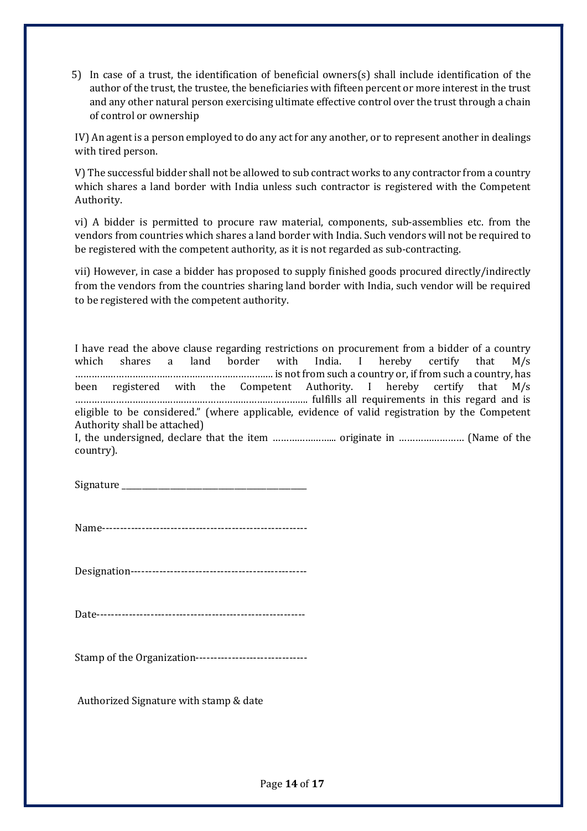5) In case of a trust, the identification of beneficial owners(s) shall include identification of the author of the trust, the trustee, the beneficiaries with fifteen percent or more interest in the trust and any other natural person exercising ultimate effective control over the trust through a chain of control or ownership

IV) An agent is a person employed to do any act for any another, or to represent another in dealings with tired person.

V) The successful bidder shall not be allowed to sub contract works to any contractor from a country which shares a land border with India unless such contractor is registered with the Competent Authority.

vi) A bidder is permitted to procure raw material, components, sub-assemblies etc. from the vendors from countries which shares a land border with India. Such vendors will not be required to be registered with the competent authority, as it is not regarded as sub-contracting.

vii) However, in case a bidder has proposed to supply finished goods procured directly/indirectly from the vendors from the countries sharing land border with India, such vendor will be required to be registered with the competent authority.

I have read the above clause regarding restrictions on procurement from a bidder of a country which shares a land border with India. I hereby certify that M/s ………………………………………………………………. is not from such a country or, if from such a country, has been registered with the Competent Authority. I hereby certify that M/s ………………………………….………………………………………. fulfills all requirements in this regard and is eligible to be considered." (where applicable, evidence of valid registration by the Competent Authority shall be attached)

I, the undersigned, declare that the item …………………... originate in …………………… (Name of the country).

Signature

Name---------------------------------------------------------

Designation-------------------------------------------------

Date----------------------------------------------------------

Stamp of the Organization-------------------------------

Authorized Signature with stamp & date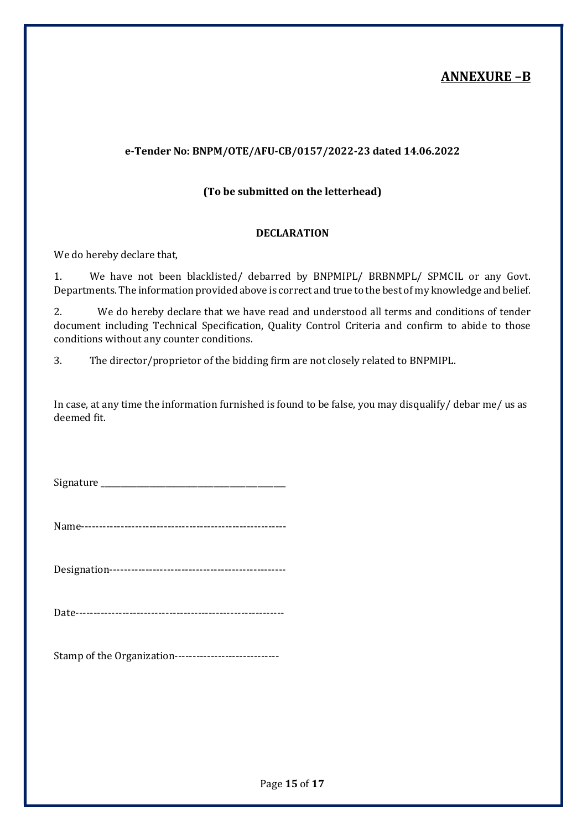### ANNEXURE –B

#### e-Tender No: BNPM/OTE/AFU-CB/0157/2022-23 dated 14.06.2022

#### (To be submitted on the letterhead)

#### DECLARATION

We do hereby declare that,

1. We have not been blacklisted/ debarred by BNPMIPL/ BRBNMPL/ SPMCIL or any Govt. Departments. The information provided above is correct and true to the best of my knowledge and belief.

2. We do hereby declare that we have read and understood all terms and conditions of tender document including Technical Specification, Quality Control Criteria and confirm to abide to those conditions without any counter conditions.

3. The director/proprietor of the bidding firm are not closely related to BNPMIPL.

In case, at any time the information furnished is found to be false, you may disqualify/ debar me/ us as deemed fit.

Signature  $\Box$ 

Name---------------------------------------------------------

Designation-------------------------------------------------

Date----------------------------------------------------------

Stamp of the Organization-----------------------------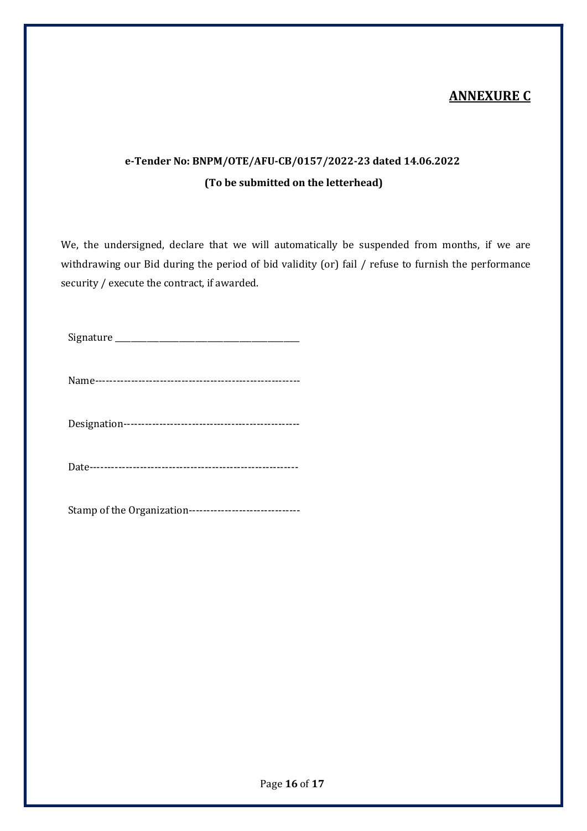## ANNEXURE C

# e-Tender No: BNPM/OTE/AFU-CB/0157/2022-23 dated 14.06.2022 (To be submitted on the letterhead)

We, the undersigned, declare that we will automatically be suspended from months, if we are withdrawing our Bid during the period of bid validity (or) fail / refuse to furnish the performance security / execute the contract, if awarded.

Signature \_\_\_\_\_\_\_\_\_\_\_\_\_\_\_\_\_\_\_\_\_\_\_\_\_\_\_\_\_\_\_\_\_\_\_\_\_\_\_\_\_\_\_\_\_\_

Name---------------------------------------------------------

Designation-------------------------------------------------

Date----------------------------------------------------------

Stamp of the Organization-------------------------------